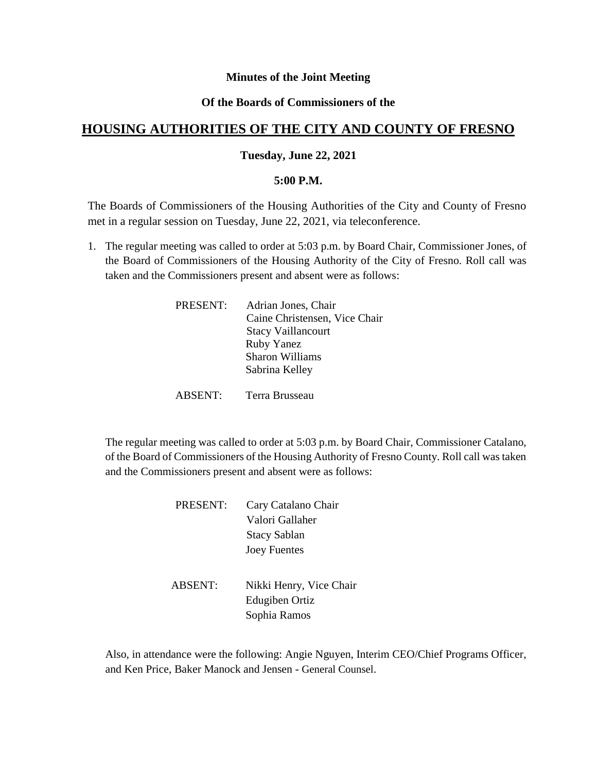## **Minutes of the Joint Meeting**

# **Of the Boards of Commissioners of the**

# **HOUSING AUTHORITIES OF THE CITY AND COUNTY OF FRESNO**

## **Tuesday, June 22, 2021**

#### **5:00 P.M.**

The Boards of Commissioners of the Housing Authorities of the City and County of Fresno met in a regular session on Tuesday, June 22, 2021, via teleconference.

1. The regular meeting was called to order at 5:03 p.m. by Board Chair, Commissioner Jones, of the Board of Commissioners of the Housing Authority of the City of Fresno. Roll call was taken and the Commissioners present and absent were as follows:

| PRESENT: | Adrian Jones, Chair           |
|----------|-------------------------------|
|          | Caine Christensen, Vice Chair |
|          | <b>Stacy Vaillancourt</b>     |
|          | <b>Ruby Yanez</b>             |
|          | Sharon Williams               |
|          | Sabrina Kelley                |
|          |                               |

ABSENT: Terra Brusseau

The regular meeting was called to order at 5:03 p.m. by Board Chair, Commissioner Catalano, of the Board of Commissioners of the Housing Authority of Fresno County. Roll call was taken and the Commissioners present and absent were as follows:

| Cary Catalano Chair |
|---------------------|
| Valori Gallaher     |
| <b>Stacy Sablan</b> |
| <b>Joey Fuentes</b> |
|                     |
|                     |

ABSENT: Nikki Henry, Vice Chair Edugiben Ortiz Sophia Ramos

Also, in attendance were the following: Angie Nguyen, Interim CEO/Chief Programs Officer, and Ken Price, Baker Manock and Jensen - General Counsel.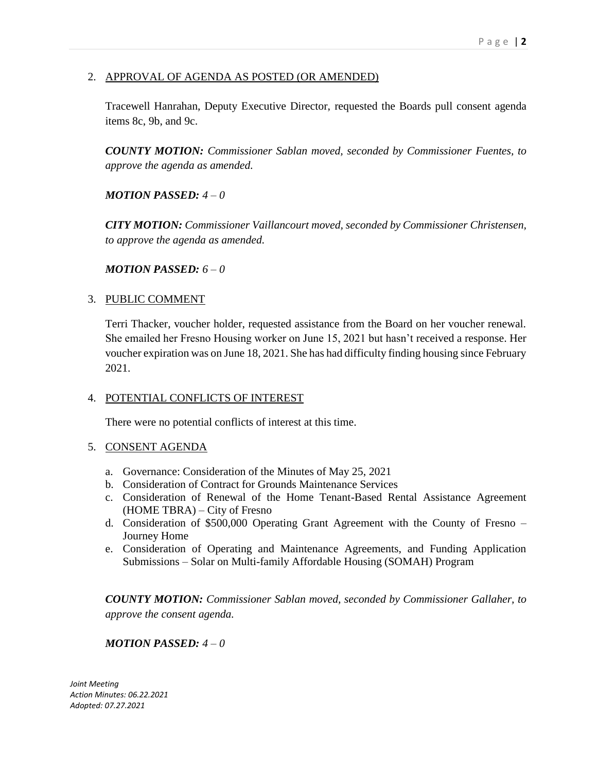# 2. APPROVAL OF AGENDA AS POSTED (OR AMENDED)

Tracewell Hanrahan, Deputy Executive Director, requested the Boards pull consent agenda items 8c, 9b, and 9c.

*COUNTY MOTION: Commissioner Sablan moved, seconded by Commissioner Fuentes, to approve the agenda as amended.*

*MOTION PASSED: 4 – 0* 

*CITY MOTION: Commissioner Vaillancourt moved, seconded by Commissioner Christensen, to approve the agenda as amended.*

*MOTION PASSED: 6 – 0* 

## 3. PUBLIC COMMENT

Terri Thacker, voucher holder, requested assistance from the Board on her voucher renewal. She emailed her Fresno Housing worker on June 15, 2021 but hasn't received a response. Her voucher expiration was on June 18, 2021. She has had difficulty finding housing since February 2021.

## 4. POTENTIAL CONFLICTS OF INTEREST

There were no potential conflicts of interest at this time.

## 5. CONSENT AGENDA

- a. Governance: Consideration of the Minutes of May 25, 2021
- b. Consideration of Contract for Grounds Maintenance Services
- c. Consideration of Renewal of the Home Tenant-Based Rental Assistance Agreement (HOME TBRA) – City of Fresno
- d. Consideration of \$500,000 Operating Grant Agreement with the County of Fresno Journey Home
- e. Consideration of Operating and Maintenance Agreements, and Funding Application Submissions – Solar on Multi-family Affordable Housing (SOMAH) Program

*COUNTY MOTION: Commissioner Sablan moved, seconded by Commissioner Gallaher, to approve the consent agenda.*

## *MOTION PASSED: 4 – 0*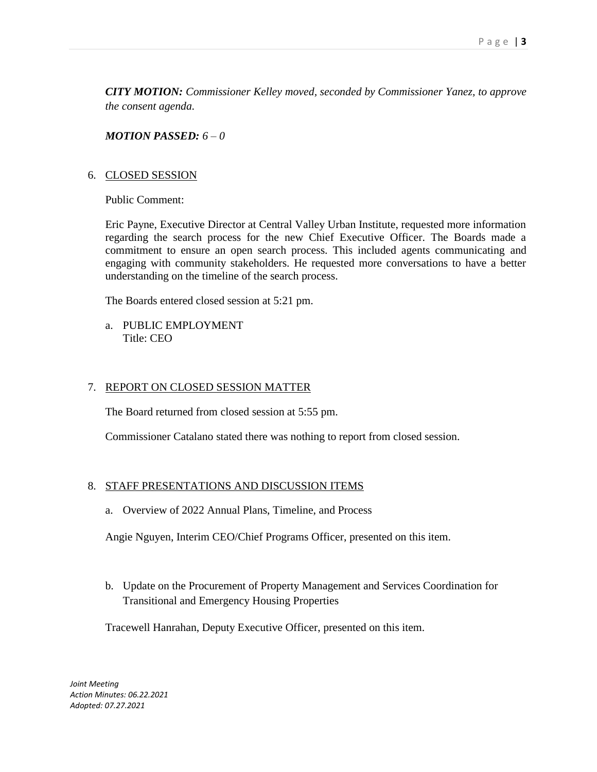*CITY MOTION: Commissioner Kelley moved, seconded by Commissioner Yanez, to approve the consent agenda.*

*MOTION PASSED: 6 – 0* 

#### 6. CLOSED SESSION

Public Comment:

Eric Payne, Executive Director at Central Valley Urban Institute, requested more information regarding the search process for the new Chief Executive Officer. The Boards made a commitment to ensure an open search process. This included agents communicating and engaging with community stakeholders. He requested more conversations to have a better understanding on the timeline of the search process.

The Boards entered closed session at 5:21 pm.

a. PUBLIC EMPLOYMENT Title: CEO

#### 7. REPORT ON CLOSED SESSION MATTER

The Board returned from closed session at 5:55 pm.

Commissioner Catalano stated there was nothing to report from closed session.

## 8. STAFF PRESENTATIONS AND DISCUSSION ITEMS

a. Overview of 2022 Annual Plans, Timeline, and Process

Angie Nguyen, Interim CEO/Chief Programs Officer, presented on this item.

b. Update on the Procurement of Property Management and Services Coordination for Transitional and Emergency Housing Properties

Tracewell Hanrahan, Deputy Executive Officer, presented on this item.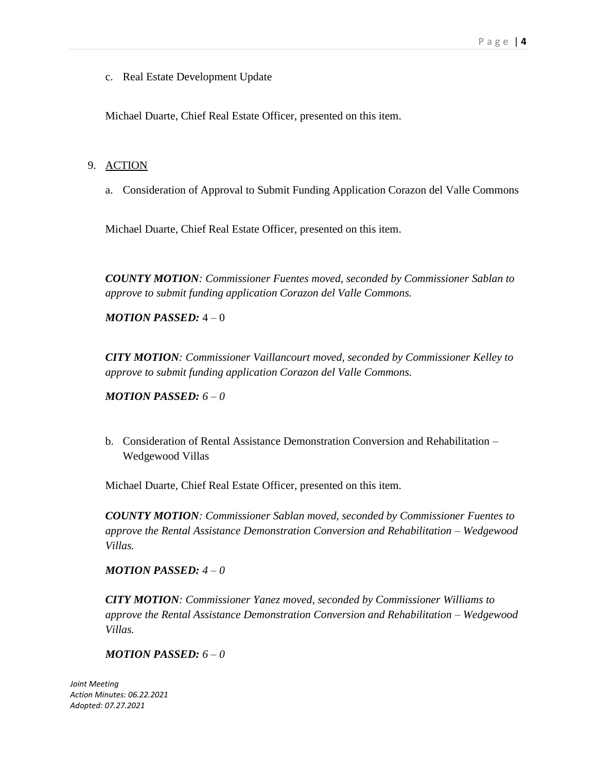c. Real Estate Development Update

Michael Duarte, Chief Real Estate Officer, presented on this item.

#### 9. ACTION

a. Consideration of Approval to Submit Funding Application Corazon del Valle Commons

Michael Duarte, Chief Real Estate Officer, presented on this item.

*COUNTY MOTION: Commissioner Fuentes moved, seconded by Commissioner Sablan to approve to submit funding application Corazon del Valle Commons.*

*MOTION PASSED:* 4 – 0

*CITY MOTION: Commissioner Vaillancourt moved, seconded by Commissioner Kelley to approve to submit funding application Corazon del Valle Commons.*

*MOTION PASSED: 6 – 0* 

b. Consideration of Rental Assistance Demonstration Conversion and Rehabilitation – Wedgewood Villas

Michael Duarte, Chief Real Estate Officer, presented on this item.

*COUNTY MOTION: Commissioner Sablan moved, seconded by Commissioner Fuentes to approve the Rental Assistance Demonstration Conversion and Rehabilitation – Wedgewood Villas.*

*MOTION PASSED: 4 – 0* 

*CITY MOTION: Commissioner Yanez moved, seconded by Commissioner Williams to approve the Rental Assistance Demonstration Conversion and Rehabilitation – Wedgewood Villas.*

#### *MOTION PASSED: 6 – 0*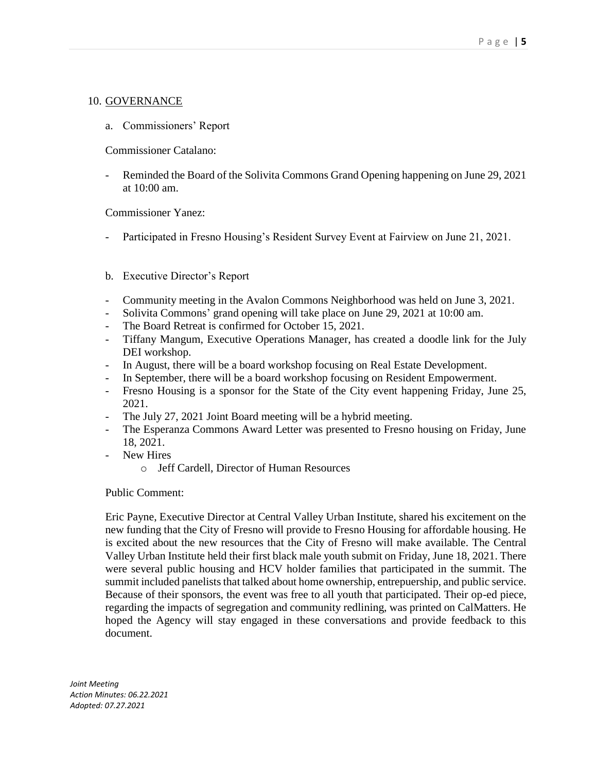# 10. GOVERNANCE

a. Commissioners' Report

Commissioner Catalano:

Reminded the Board of the Solivita Commons Grand Opening happening on June 29, 2021 at 10:00 am.

Commissioner Yanez:

- Participated in Fresno Housing's Resident Survey Event at Fairview on June 21, 2021.
- b. Executive Director's Report
- Community meeting in the Avalon Commons Neighborhood was held on June 3, 2021.
- Solivita Commons' grand opening will take place on June 29, 2021 at 10:00 am.
- The Board Retreat is confirmed for October 15, 2021.
- Tiffany Mangum, Executive Operations Manager, has created a doodle link for the July DEI workshop.
- In August, there will be a board workshop focusing on Real Estate Development.
- In September, there will be a board workshop focusing on Resident Empowerment.
- Fresno Housing is a sponsor for the State of the City event happening Friday, June 25, 2021.
- The July 27, 2021 Joint Board meeting will be a hybrid meeting.
- The Esperanza Commons Award Letter was presented to Fresno housing on Friday, June 18, 2021.
- New Hires
	- o Jeff Cardell, Director of Human Resources

## Public Comment:

Eric Payne, Executive Director at Central Valley Urban Institute, shared his excitement on the new funding that the City of Fresno will provide to Fresno Housing for affordable housing. He is excited about the new resources that the City of Fresno will make available. The Central Valley Urban Institute held their first black male youth submit on Friday, June 18, 2021. There were several public housing and HCV holder families that participated in the summit. The summit included panelists that talked about home ownership, entrepuership, and public service. Because of their sponsors, the event was free to all youth that participated. Their op-ed piece, regarding the impacts of segregation and community redlining, was printed on CalMatters. He hoped the Agency will stay engaged in these conversations and provide feedback to this document.